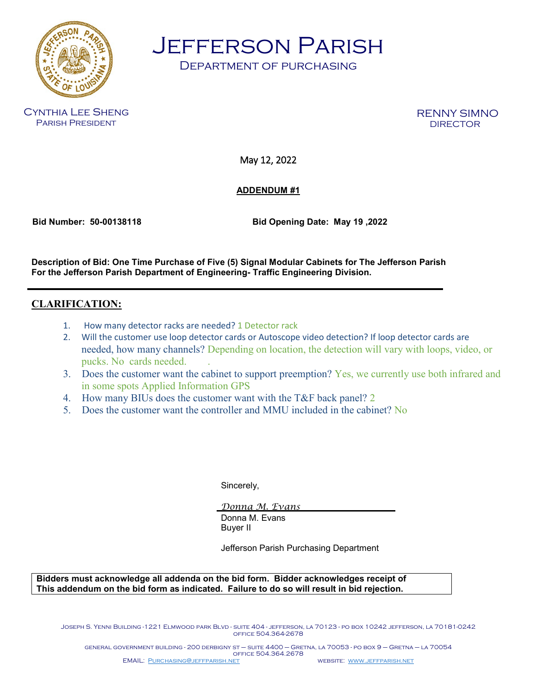

Jefferson Parish

Department of purchasing

Cynthia Lee Sheng Parish President

RENNY SIMNO

May 12, 2022

## **ADDENDUM #1**

 **Bid Number: 50-00138118 Bid Opening Date: May 19 ,2022** 

**Description of Bid: One Time Purchase of Five (5) Signal Modular Cabinets for The Jefferson Parish For the Jefferson Parish Department of Engineering- Traffic Engineering Division.**

## **CLARIFICATION:**

- 1. How many detector racks are needed? 1 Detector rack
- 2. Will the customer use loop detector cards or Autoscope video detection? If loop detector cards are needed, how many channels? Depending on location, the detection will vary with loops, video, or pucks. No cards needed. .
- 3. Does the customer want the cabinet to support preemption? Yes, we currently use both infrared and in some spots Applied Information GPS
- 4. How many BIUs does the customer want with the T&F back panel? 2
- 5. Does the customer want the controller and MMU included in the cabinet? No

Sincerely,

*Donna M. Evans* Donna M. Evans Buyer II

Jefferson Parish Purchasing Department

**Bidders must acknowledge all addenda on the bid form. Bidder acknowledges receipt of This addendum on the bid form as indicated. Failure to do so will result in bid rejection.**

Joseph S. Yenni Building -1221 Elmwood park Blvd - suite 404 - jefferson, la 70123 - po box 10242 jefferson, la 70181-0242 office 504.364-2678

general government building - 200 derbigny st – suite 4400 – Gretna, la 70053 - po box 9 – Gretna – la 70054 office 504.364.2678 EMAIL: [Purchasing@jeffparish.net](mailto:Purchasing@jeffparish.net) website: [www.jeffparish.net](http://www.jeffparish.net/)